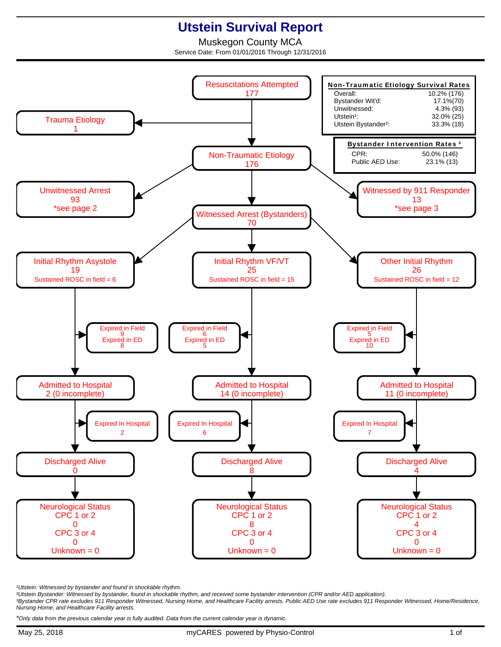## **Utstein Survival Report**

Muskegon County MCA Service Date: From 01/01/2016 Through 12/31/2016



<sup>1</sup>Utstein: Witnessed by bystander and found in shockable rhythm.

²Utstein Bystander: Witnessed by bystander, found in shockable rhythm, and received some bystander intervention (CPR and/or AED application).

³Bystander CPR rate excludes 911 Responder Witnessed, Nursing Home, and Healthcare Facility arrests. Public AED Use rate excludes 911 Responder Witnessed, Home/Residence, Nursing Home, and Healthcare Facility arrests.

\*Only data from the previous calendar year is fully audited. Data from the current calendar year is dynamic.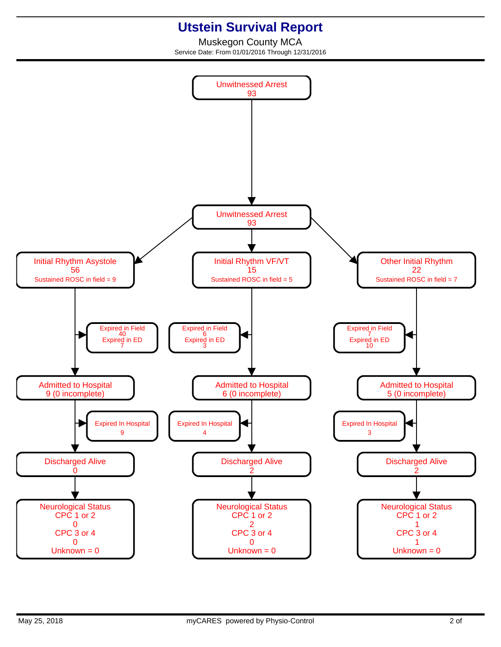## **Utstein Survival Report**

Muskegon County MCA Service Date: From 01/01/2016 Through 12/31/2016